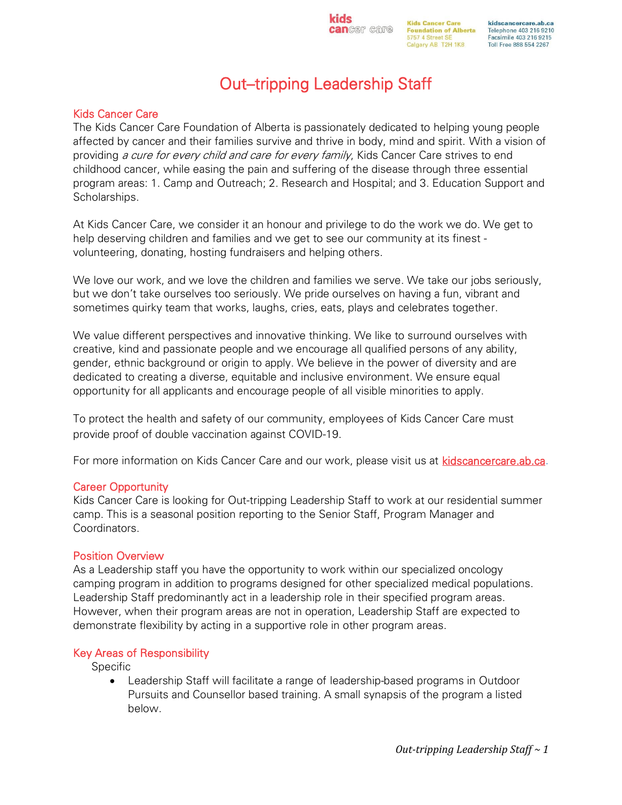kidscancercare.ab.ca Telephone 403 216 9210 Facsimile 403 216 9215 Toll Free 888 554 2267

# Out–tripping Leadership Staff

**kids** 

## Kids Cancer Care

The Kids Cancer Care Foundation of Alberta is passionately dedicated to helping young people affected by cancer and their families survive and thrive in body, mind and spirit. With a vision of providing a cure for every child and care for every family, Kids Cancer Care strives to end childhood cancer, while easing the pain and suffering of the disease through three essential program areas: 1. Camp and Outreach; 2. Research and Hospital; and 3. Education Support and Scholarships.

At Kids Cancer Care, we consider it an honour and privilege to do the work we do. We get to help deserving children and families and we get to see our community at its finest volunteering, donating, hosting fundraisers and helping others.

We love our work, and we love the children and families we serve. We take our jobs seriously, but we don't take ourselves too seriously. We pride ourselves on having a fun, vibrant and sometimes quirky team that works, laughs, cries, eats, plays and celebrates together.

We value different perspectives and innovative thinking. We like to surround ourselves with creative, kind and passionate people and we encourage all qualified persons of any ability, gender, ethnic background or origin to apply. We believe in the power of diversity and are dedicated to creating a diverse, equitable and inclusive environment. We ensure equal opportunity for all applicants and encourage people of all visible minorities to apply.

To protect the health and safety of our community, employees of Kids Cancer Care must provide proof of double vaccination against COVID-19.

For more information on Kids Cancer Care and our work, please visit us at [kidscancercare.ab.ca.](http://www.kidscancercare.ab.ca/)

## Career Opportunity

Kids Cancer Care is looking for Out-tripping Leadership Staff to work at our residential summer camp. This is a seasonal position reporting to the Senior Staff, Program Manager and Coordinators.

## Position Overview

As a Leadership staff you have the opportunity to work within our specialized oncology camping program in addition to programs designed for other specialized medical populations. Leadership Staff predominantly act in a leadership role in their specified program areas. However, when their program areas are not in operation, Leadership Staff are expected to demonstrate flexibility by acting in a supportive role in other program areas.

## Key Areas of Responsibility

Specific

• Leadership Staff will facilitate a range of leadership-based programs in Outdoor Pursuits and Counsellor based training. A small synapsis of the program a listed below.